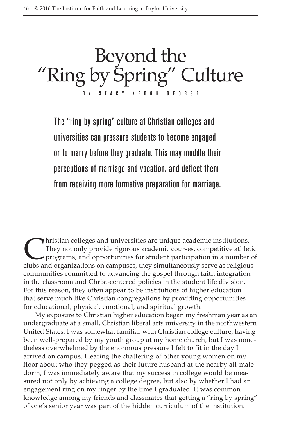Beyond the "Ring by Spring" Culture B Y S T A C Y K E O G H G E O R G E

The "ring by spring" culture at Christian colleges and universities can pressure students to become engaged or to marry before they graduate. This may muddle their perceptions of marriage and vocation, and deflect them from receiving more formative preparation for marriage.

They not only provide rigorous academic courses, competitive athlet<br>programs, and opportunities for student participation in a number<br>clubs and organizations on campuses, they simultaneously serve as religious They not only provide rigorous academic courses, competitive athletic programs, and opportunities for student participation in a number of clubs and organizations on campuses, they simultaneously serve as religious communities committed to advancing the gospel through faith integration in the classroom and Christ-centered policies in the student life division. For this reason, they often appear to be institutions of higher education that serve much like Christian congregations by providing opportunities for educational, physical, emotional, and spiritual growth.

My exposure to Christian higher education began my freshman year as an undergraduate at a small, Christian liberal arts university in the northwestern United States. I was somewhat familiar with Christian college culture, having been well-prepared by my youth group at my home church, but I was nonetheless overwhelmed by the enormous pressure I felt to fit in the day I arrived on campus. Hearing the chattering of other young women on my floor about who they pegged as their future husband at the nearby all-male dorm, I was immediately aware that my success in college would be measured not only by achieving a college degree, but also by whether I had an engagement ring on my finger by the time I graduated. It was common knowledge among my friends and classmates that getting a "ring by spring" of one's senior year was part of the hidden curriculum of the institution.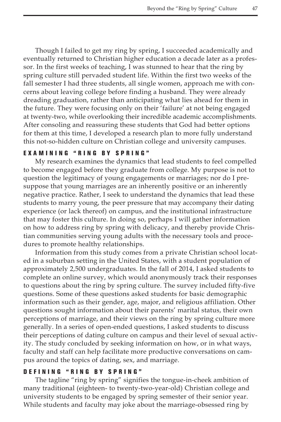Though I failed to get my ring by spring, I succeeded academically and eventually returned to Christian higher education a decade later as a professor. In the first weeks of teaching, I was stunned to hear that the ring by spring culture still pervaded student life. Within the first two weeks of the fall semester I had three students, all single women, approach me with concerns about leaving college before finding a husband. They were already dreading graduation, rather than anticipating what lies ahead for them in the future. They were focusing only on their 'failure' at not being engaged at twenty-two, while overlooking their incredible academic accomplishments. After consoling and reassuring these students that God had better options for them at this time, I developed a research plan to more fully understand this not-so-hidden culture on Christian college and university campuses.

## EXAMINING "RING BY SPRING"

My research examines the dynamics that lead students to feel compelled to become engaged before they graduate from college. My purpose is not to question the legitimacy of young engagements or marriages; nor do I presuppose that young marriages are an inherently positive or an inherently negative practice. Rather, I seek to understand the dynamics that lead these students to marry young, the peer pressure that may accompany their dating experience (or lack thereof) on campus, and the institutional infrastructure that may foster this culture. In doing so, perhaps I will gather information on how to address ring by spring with delicacy, and thereby provide Christian communities serving young adults with the necessary tools and procedures to promote healthy relationships.

Information from this study comes from a private Christian school located in a suburban setting in the United States, with a student population of approximately 2,500 undergraduates. In the fall of 2014, I asked students to complete an online survey, which would anonymously track their responses to questions about the ring by spring culture. The survey included fifty-five questions. Some of these questions asked students for basic demographic information such as their gender, age, major, and religious affiliation. Other questions sought information about their parents' marital status, their own perceptions of marriage, and their views on the ring by spring culture more generally. In a series of open-ended questions, I asked students to discuss their perceptions of dating culture on campus and their level of sexual activity. The study concluded by seeking information on how, or in what ways, faculty and staff can help facilitate more productive conversations on campus around the topics of dating, sex, and marriage.

### DEFINING "RING BY SPRING"

The tagline "ring by spring" signifies the tongue-in-cheek ambition of many traditional (eighteen- to twenty-two-year-old) Christian college and university students to be engaged by spring semester of their senior year. While students and faculty may joke about the marriage-obsessed ring by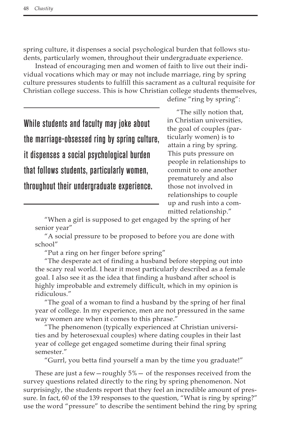spring culture, it dispenses a social psychological burden that follows students, particularly women, throughout their undergraduate experience.

Instead of encouraging men and women of faith to live out their individual vocations which may or may not include marriage, ring by spring culture pressures students to fulfill this sacrament as a cultural requisite for Christian college success. This is how Christian college students themselves,

define "ring by spring":

While students and faculty may joke about the marriage-obsessed ring by spring culture, it dispenses a social psychological burden that follows students, particularly women, throughout their undergraduate experience.

"The silly notion that, in Christian universities, the goal of couples (particularly women) is to attain a ring by spring. This puts pressure on people in relationships to commit to one another prematurely and also those not involved in relationships to couple up and rush into a committed relationship."

"When a girl is supposed to get engaged by the spring of her senior year"

"A social pressure to be proposed to before you are done with school"

"Put a ring on her finger before spring"

"The desperate act of finding a husband before stepping out into the scary real world. I hear it most particularly described as a female goal. I also see it as the idea that finding a husband after school is highly improbable and extremely difficult, which in my opinion is ridiculous."

"The goal of a woman to find a husband by the spring of her final year of college. In my experience, men are not pressured in the same way women are when it comes to this phrase."

"The phenomenon (typically experienced at Christian universities and by heterosexual couples) where dating couples in their last year of college get engaged sometime during their final spring semester."

"Gurrl, you betta find yourself a man by the time you graduate!"

These are just a few—roughly 5%— of the responses received from the survey questions related directly to the ring by spring phenomenon. Not surprisingly, the students report that they feel an incredible amount of pressure. In fact, 60 of the 139 responses to the question, "What is ring by spring?" use the word "pressure" to describe the sentiment behind the ring by spring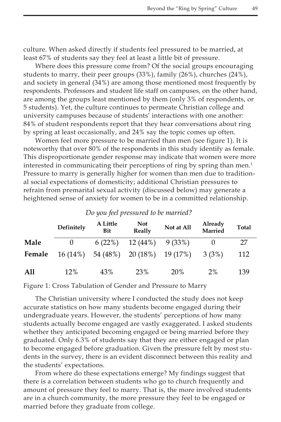culture. When asked directly if students feel pressured to be married, at least 67% of students say they feel at least a little bit of pressure.

Where does this pressure come from? Of the social groups encouraging students to marry, their peer groups (33%), family (26%), churches (24%), and society in general (34%) are among those mentioned most frequently by respondents. Professors and student life staff on campuses, on the other hand, are among the groups least mentioned by them (only 3% of respondents, or 5 students). Yet, the culture continues to permeate Christian college and university campuses because of students' interactions with one another: 84% of student respondents report that they hear conversations about ring by spring at least occasionally, and 24% say the topic comes up often.

Women feel more pressure to be married than men (see figure 1). It is noteworthy that over 80% of the respondents in this study identify as female. This disproportionate gender response may indicate that women were more interested in communicating their perceptions of ring by spring than men.<sup>1</sup> Pressure to marry is generally higher for women than men due to traditional social expectations of domesticity; additional Christian pressures to refrain from premarital sexual activity (discussed below) may generate a heightened sense of anxiety for women to be in a committed relationship.

|        | Definitely | A Little<br>Bit | <b>Not</b><br>Really | Not at All | Already<br>Married | <b>Total</b> |
|--------|------------|-----------------|----------------------|------------|--------------------|--------------|
| Male   | $\theta$   | 6(22%)          | 12(44%)              | 9 (33%)    |                    | 27           |
| Female | $16(14\%)$ | 54 (48%)        | $20(18\%)$ 19(17%)   |            | 3 (3%)             | 112          |
| All    | 12%        | 43%             | 23%                  | 20%        | 2%                 | 139          |

# *Do you feel pressured to be married?*

Figure 1: Cross Tabulation of Gender and Pressure to Marry

The Christian university where I conducted the study does not keep accurate statistics on how many students become engaged during their undergraduate years. However, the students' perceptions of how many students actually become engaged are vastly exaggerated. I asked students whether they anticipated becoming engaged or being married before they graduated. Only 6.3% of students say that they are either engaged or plan to become engaged before graduation. Given the pressure felt by most students in the survey, there is an evident disconnect between this reality and the students' expectations.

From where do these expectations emerge? My findings suggest that there is a correlation between students who go to church frequently and amount of pressure they feel to marry. That is, the more involved students are in a church community, the more pressure they feel to be engaged or married before they graduate from college.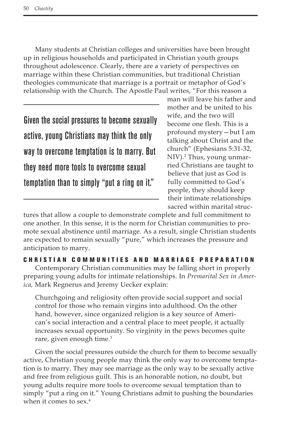Many students at Christian colleges and universities have been brought up in religious households and participated in Christian youth groups throughout adolescence. Clearly, there are a variety of perspectives on marriage within these Christian communities, but traditional Christian theologies communicate that marriage is a portrait or metaphor of God's relationship with the Church. The Apostle Paul writes, "For this reason a

Given the social pressures to become sexually active, young Christians may think the only way to overcome temptation is to marry. But they need more tools to overcome sexual temptation than to simply "put a ring on it."

man will leave his father and mother and be united to his wife, and the two will become one flesh. This is a profound mystery—but I am talking about Christ and the church" (Ephesians 5:31-32, NIV).2 Thus, young unmarried Christians are taught to believe that just as God is fully committed to God's people, they should keep their intimate relationships sacred within marital struc-

tures that allow a couple to demonstrate complete and full commitment to one another. In this sense, it is the norm for Christian communities to promote sexual abstinence until marriage. As a result, single Christian students are expected to remain sexually "pure," which increases the pressure and anticipation to marry.

CHRISTIAN COMMUNITIES AND MARRIAGE PREPARATION

Contemporary Christian communities may be falling short in properly preparing young adults for intimate relationships. In *Premarital Sex in America,* Mark Regnerus and Jeremy Uecker explain:

Churchgoing and religiosity often provide social support and social control for those who remain virgins into adulthood. On the other hand, however, since organized religion is a key source of American's social interaction and a central place to meet people, it actually increases sexual opportunity. So virginity in the pews becomes quite rare, given enough time.<sup>3</sup>

Given the social pressures outside the church for them to become sexually active, Christian young people may think the only way to overcome temptation is to marry. They may see marriage as the only way to be sexually active and free from religious guilt. This is an honorable notion, no doubt, but young adults require more tools to overcome sexual temptation than to simply "put a ring on it." Young Christians admit to pushing the boundaries when it comes to sex.<sup>4</sup>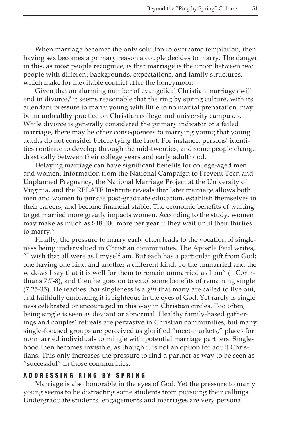When marriage becomes the only solution to overcome temptation, then having sex becomes a primary reason a couple decides to marry. The danger in this, as most people recognize, is that marriage is the union between two people with different backgrounds, expectations, and family structures, which make for inevitable conflict after the honeymoon.

Given that an alarming number of evangelical Christian marriages will end in divorce,<sup>5</sup> it seems reasonable that the ring by spring culture, with its attendant pressure to marry young with little to no marital preparation, may be an unhealthy practice on Christian college and university campuses. While divorce is generally considered the primary indicator of a failed marriage, there may be other consequences to marrying young that young adults do not consider before tying the knot. For instance, persons' identities continue to develop through the mid-twenties, and some people change drastically between their college years and early adulthood.

Delaying marriage can have significant benefits for college-aged men and women. Information from the National Campaign to Prevent Teen and Unplanned Pregnancy, the National Marriage Project at the University of Virginia, and the RELATE Institute reveals that later marriage allows both men and women to pursue post-graduate education, establish themselves in their careers, and become financial stable. The economic benefits of waiting to get married more greatly impacts women. According to the study, women may make as much as \$18,000 more per year if they wait until their thirties to marry.<sup>6</sup>

Finally, the pressure to marry early often leads to the vocation of singleness being undervalued in Christian communities. The Apostle Paul writes, "I wish that all were as I myself am. But each has a particular gift from God; one having one kind and another a different kind. To the unmarried and the widows I say that it is well for them to remain unmarried as I am" (1 Corinthians 7:7-8), and then he goes on to extol some benefits of remaining single (7:25-35). He teaches that singleness is a *gift* that many are called to live out, and faithfully embracing it is righteous in the eyes of God. Yet rarely is singleness celebrated or encouraged in this way in Christian circles. Too often, being single is seen as deviant or abnormal. Healthy family-based gatherings and couples' retreats are pervasive in Christian communities, but many single-focused groups are perceived as glorified "meet-markets," places for nonmarried individuals to mingle with potential marriage partners. Singlehood then becomes invisible, as though it is not an option for adult Christians. This only increases the pressure to find a partner as way to be seen as "successful" in those communities.

#### ADDRESSING RING BY SPRING

Marriage is also honorable in the eyes of God. Yet the pressure to marry young seems to be distracting some students from pursuing their callings. Undergraduate students' engagements and marriages are very personal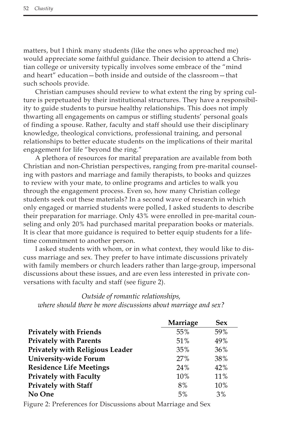matters, but I think many students (like the ones who approached me) would appreciate some faithful guidance. Their decision to attend a Christian college or university typically involves some embrace of the "mind and heart" education—both inside and outside of the classroom—that such schools provide.

Christian campuses should review to what extent the ring by spring culture is perpetuated by their institutional structures. They have a responsibility to guide students to pursue healthy relationships. This does not imply thwarting all engagements on campus or stifling students' personal goals of finding a spouse. Rather, faculty and staff should use their disciplinary knowledge, theological convictions, professional training, and personal relationships to better educate students on the implications of their marital engagement for life "beyond the ring."

A plethora of resources for marital preparation are available from both Christian and non-Christian perspectives, ranging from pre-marital counseling with pastors and marriage and family therapists, to books and quizzes to review with your mate, to online programs and articles to walk you through the engagement process. Even so, how many Christian college students seek out these materials? In a second wave of research in which only engaged or married students were polled, I asked students to describe their preparation for marriage. Only 43% were enrolled in pre-marital counseling and only 20% had purchased marital preparation books or materials. It is clear that more guidance is required to better equip students for a lifetime commitment to another person.

I asked students with whom, or in what context, they would like to discuss marriage and sex. They prefer to have intimate discussions privately with family members or church leaders rather than large-group, impersonal discussions about these issues, and are even less interested in private conversations with faculty and staff (see figure 2).

# *Outside of romantic relationships, where should there be more discussions about marriage and sex?*

|                                 | Marriage | <b>Sex</b> |
|---------------------------------|----------|------------|
| <b>Privately with Friends</b>   | 55%      | 59%        |
| <b>Privately with Parents</b>   | 51%      | 49%        |
| Privately with Religious Leader | 35%      | 36%        |
| University-wide Forum           | 27%      | 38%        |
| <b>Residence Life Meetings</b>  | 24%      | 42%        |
| Privately with Faculty          | 10%      | 11%        |
| <b>Privately with Staff</b>     | 8%       | 10%        |
| No One                          | 5%       | 3%         |

Figure 2: Preferences for Discussions about Marriage and Sex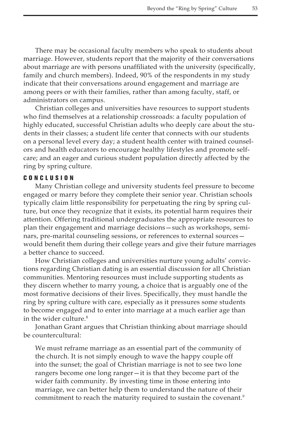There may be occasional faculty members who speak to students about marriage. However, students report that the majority of their conversations about marriage are with persons unaffiliated with the university (specifically, family and church members). Indeed, 90% of the respondents in my study indicate that their conversations around engagement and marriage are among peers or with their families, rather than among faculty, staff, or administrators on campus.

Christian colleges and universities have resources to support students who find themselves at a relationship crossroads: a faculty population of highly educated, successful Christian adults who deeply care about the students in their classes; a student life center that connects with our students on a personal level every day; a student health center with trained counselors and health educators to encourage healthy lifestyles and promote selfcare; and an eager and curious student population directly affected by the ring by spring culture.

## C O N C L U S I O N

Many Christian college and university students feel pressure to become engaged or marry before they complete their senior year. Christian schools typically claim little responsibility for perpetuating the ring by spring culture, but once they recognize that it exists, its potential harm requires their attention. Offering traditional undergraduates the appropriate resources to plan their engagement and marriage decisions—such as workshops, seminars, pre-marital counseling sessions, or references to external sources would benefit them during their college years and give their future marriages a better chance to succeed.

How Christian colleges and universities nurture young adults' convictions regarding Christian dating is an essential discussion for all Christian communities. Mentoring resources must include supporting students as they discern whether to marry young, a choice that is arguably one of the most formative decisions of their lives. Specifically, they must handle the ring by spring culture with care, especially as it pressures some students to become engaged and to enter into marriage at a much earlier age than in the wider culture.<sup>8</sup>

Jonathan Grant argues that Christian thinking about marriage should be countercultural:

We must reframe marriage as an essential part of the community of the church. It is not simply enough to wave the happy couple off into the sunset; the goal of Christian marriage is not to see two lone rangers become one long ranger—it is that they become part of the wider faith community. By investing time in those entering into marriage, we can better help them to understand the nature of their commitment to reach the maturity required to sustain the covenant.<sup>9</sup>